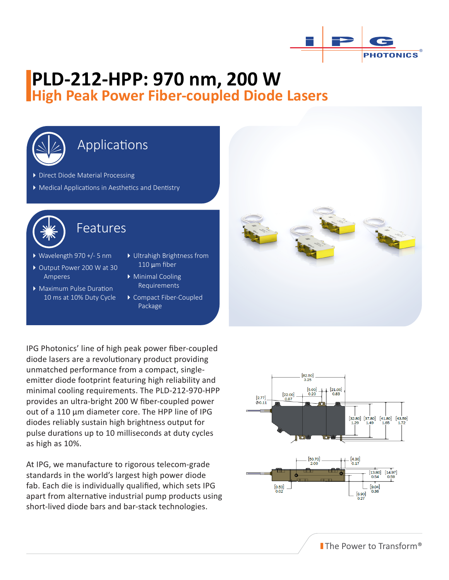

# **PLD-212-HPP: 970 nm, 200 W High Peak Power Fiber-coupled Diode Lasers**



### Applications

Direct Diode Material Processing

Medical Applications in Aesthetics and Dentistry



### Features

- Wavelength 970 +/- 5 nm
- ▶ Output Power 200 W at 30 Amperes
- Maximum Pulse Duration 10 ms at 10% Duty Cycle
- Ultrahigh Brightness from 110 μm fiber
- Minimal Cooling Requirements
- Compact Fiber-Coupled Package

IPG Photonics' line of high peak power fiber-coupled diode lasers are a revolutionary product providing unmatched performance from a compact, singleemitter diode footprint featuring high reliability and minimal cooling requirements. The PLD-212-970-HPP provides an ultra-bright 200 W fiber-coupled power out of a 110 μm diameter core. The HPP line of IPG diodes reliably sustain high brightness output for pulse durations up to 10 milliseconds at duty cycles as high as 10%.

At IPG, we manufacture to rigorous telecom-grade standards in the world's largest high power diode fab. Each die is individually qualified, which sets IPG apart from alternative industrial pump products using short-lived diode bars and bar-stack technologies.